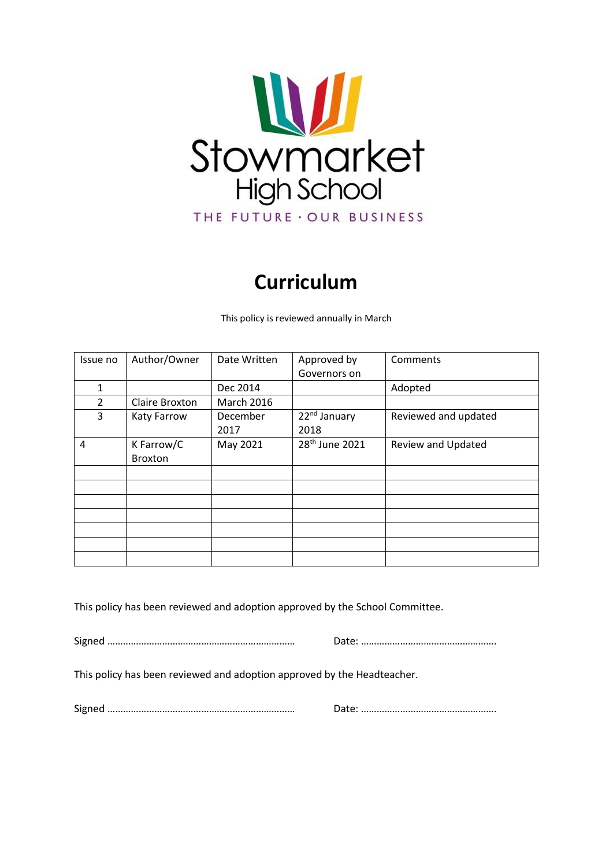

# **Curriculum**

This policy is reviewed annually in March

| Issue no       | Author/Owner          | Date Written      | Approved by                      | Comments             |
|----------------|-----------------------|-------------------|----------------------------------|----------------------|
|                |                       |                   | Governors on                     |                      |
| 1              |                       | Dec 2014          |                                  | Adopted              |
| $\overline{2}$ | Claire Broxton        | <b>March 2016</b> |                                  |                      |
| 3              | Katy Farrow           | December<br>2017  | 22 <sup>nd</sup> January<br>2018 | Reviewed and updated |
| 4              | K Farrow/C<br>Broxton | May 2021          | 28 <sup>th</sup> June 2021       | Review and Updated   |
|                |                       |                   |                                  |                      |
|                |                       |                   |                                  |                      |
|                |                       |                   |                                  |                      |
|                |                       |                   |                                  |                      |
|                |                       |                   |                                  |                      |
|                |                       |                   |                                  |                      |
|                |                       |                   |                                  |                      |

This policy has been reviewed and adoption approved by the School Committee.

Signed ……………………………………………………………… Date: …………………………………………….

This policy has been reviewed and adoption approved by the Headteacher.

Signed ……………………………………………………………… Date: …………………………………………….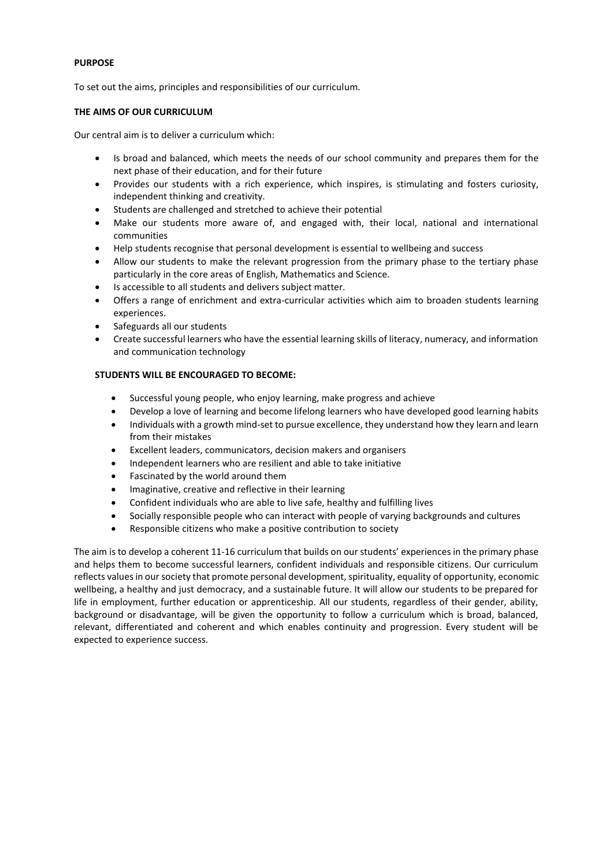# **PURPOSE**

To set out the aims, principles and responsibilities of our curriculum.

# **THE AIMS OF OUR CURRICULUM**

Our central aim is to deliver a curriculum which:

- Is broad and balanced, which meets the needs of our school community and prepares them for the next phase of their education, and for their future
- Provides our students with a rich experience, which inspires, is stimulating and fosters curiosity, independent thinking and creativity.
- Students are challenged and stretched to achieve their potential
- Make our students more aware of, and engaged with, their local, national and international communities
- Help students recognise that personal development is essential to wellbeing and success
- Allow our students to make the relevant progression from the primary phase to the tertiary phase particularly in the core areas of English, Mathematics and Science.
- Is accessible to all students and delivers subject matter.
- Offers a range of enrichment and extra-curricular activities which aim to broaden students learning experiences.
- Safeguards all our students
- Create successful learners who have the essential learning skills of literacy, numeracy, and information and communication technology

# **STUDENTS WILL BE ENCOURAGED TO BECOME:**

- Successful young people, who enjoy learning, make progress and achieve
- Develop a love of learning and become lifelong learners who have developed good learning habits
- Individuals with a growth mind-set to pursue excellence, they understand how they learn and learn from their mistakes
- Excellent leaders, communicators, decision makers and organisers
- Independent learners who are resilient and able to take initiative
- Fascinated by the world around them
- Imaginative, creative and reflective in their learning
- Confident individuals who are able to live safe, healthy and fulfilling lives
- Socially responsible people who can interact with people of varying backgrounds and cultures
- Responsible citizens who make a positive contribution to society

The aim is to develop a coherent 11-16 curriculum that builds on our students' experiences in the primary phase and helps them to become successful learners, confident individuals and responsible citizens. Our curriculum reflects values in our society that promote personal development, spirituality, equality of opportunity, economic wellbeing, a healthy and just democracy, and a sustainable future. It will allow our students to be prepared for life in employment, further education or apprenticeship. All our students, regardless of their gender, ability, background or disadvantage, will be given the opportunity to follow a curriculum which is broad, balanced, relevant, differentiated and coherent and which enables continuity and progression. Every student will be expected to experience success.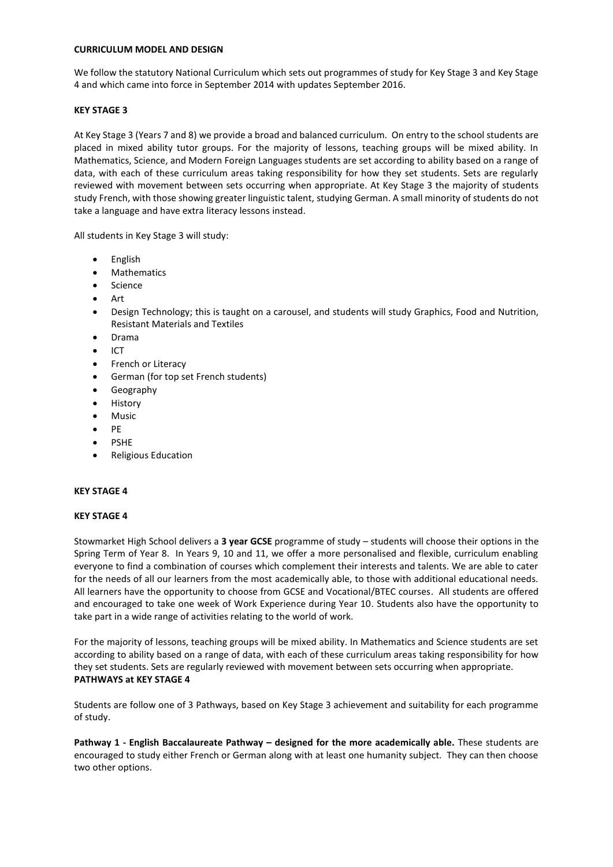## **CURRICULUM MODEL AND DESIGN**

We follow the statutory National Curriculum which sets out programmes of study for Key Stage 3 and Key Stage 4 and which came into force in September 2014 with updates September 2016.

## **KEY STAGE 3**

At Key Stage 3 (Years 7 and 8) we provide a broad and balanced curriculum. On entry to the school students are placed in mixed ability tutor groups. For the majority of lessons, teaching groups will be mixed ability. In Mathematics, Science, and Modern Foreign Languages students are set according to ability based on a range of data, with each of these curriculum areas taking responsibility for how they set students. Sets are regularly reviewed with movement between sets occurring when appropriate. At Key Stage 3 the majority of students study French, with those showing greater linguistic talent, studying German. A small minority of students do not take a language and have extra literacy lessons instead.

All students in Key Stage 3 will study:

- English
- Mathematics
- Science
- Art
- Design Technology; this is taught on a carousel, and students will study Graphics, Food and Nutrition, Resistant Materials and Textiles
- Drama
- $\bullet$  ICT
- French or Literacy
- German (for top set French students)
- **•** Geography
- History
- Music
- $\bullet$  DF
- PSHE
- Religious Education

#### **KEY STAGE 4**

#### **KEY STAGE 4**

Stowmarket High School delivers a **3 year GCSE** programme of study – students will choose their options in the Spring Term of Year 8. In Years 9, 10 and 11, we offer a more personalised and flexible, curriculum enabling everyone to find a combination of courses which complement their interests and talents. We are able to cater for the needs of all our learners from the most academically able, to those with additional educational needs. All learners have the opportunity to choose from GCSE and Vocational/BTEC courses. All students are offered and encouraged to take one week of Work Experience during Year 10. Students also have the opportunity to take part in a wide range of activities relating to the world of work.

For the majority of lessons, teaching groups will be mixed ability. In Mathematics and Science students are set according to ability based on a range of data, with each of these curriculum areas taking responsibility for how they set students. Sets are regularly reviewed with movement between sets occurring when appropriate. **PATHWAYS at KEY STAGE 4**

Students are follow one of 3 Pathways, based on Key Stage 3 achievement and suitability for each programme of study.

**Pathway 1 - English Baccalaureate Pathway – designed for the more academically able.** These students are encouraged to study either French or German along with at least one humanity subject. They can then choose two other options.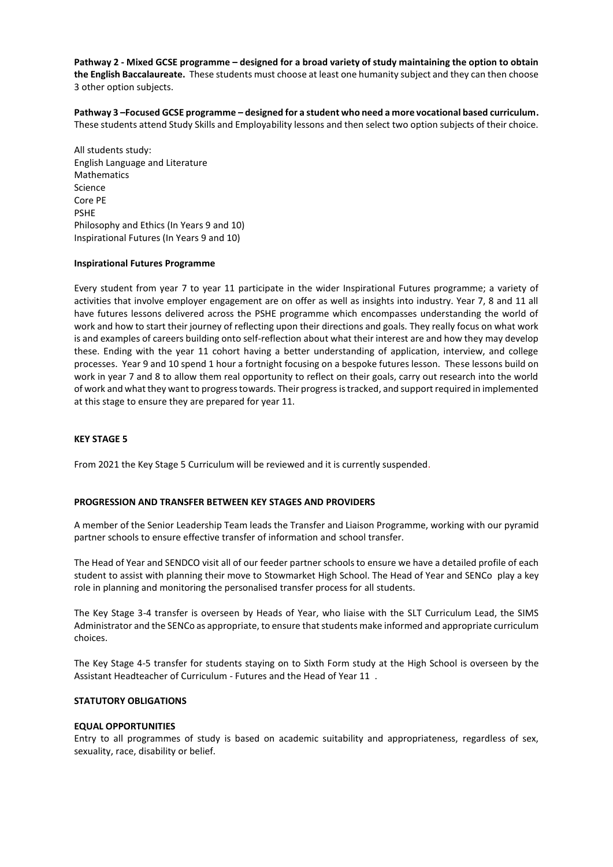**Pathway 2 - Mixed GCSE programme – designed for a broad variety of study maintaining the option to obtain the English Baccalaureate.** These students must choose at least one humanity subject and they can then choose 3 other option subjects.

**Pathway 3 –Focused GCSE programme – designed for a student who need a more vocational based curriculum.**  These students attend Study Skills and Employability lessons and then select two option subjects of their choice.

All students study: English Language and Literature Mathematics Science Core PE PSHE Philosophy and Ethics (In Years 9 and 10) Inspirational Futures (In Years 9 and 10)

### **Inspirational Futures Programme**

Every student from year 7 to year 11 participate in the wider Inspirational Futures programme; a variety of activities that involve employer engagement are on offer as well as insights into industry. Year 7, 8 and 11 all have futures lessons delivered across the PSHE programme which encompasses understanding the world of work and how to start their journey of reflecting upon their directions and goals. They really focus on what work is and examples of careers building onto self-reflection about what their interest are and how they may develop these. Ending with the year 11 cohort having a better understanding of application, interview, and college processes. Year 9 and 10 spend 1 hour a fortnight focusing on a bespoke futures lesson. These lessons build on work in year 7 and 8 to allow them real opportunity to reflect on their goals, carry out research into the world of work and what they want to progress towards. Their progress is tracked, and support required in implemented at this stage to ensure they are prepared for year 11.

# **KEY STAGE 5**

From 2021 the Key Stage 5 Curriculum will be reviewed and it is currently suspended.

#### **PROGRESSION AND TRANSFER BETWEEN KEY STAGES AND PROVIDERS**

A member of the Senior Leadership Team leads the Transfer and Liaison Programme, working with our pyramid partner schools to ensure effective transfer of information and school transfer.

The Head of Year and SENDCO visit all of our feeder partner schools to ensure we have a detailed profile of each student to assist with planning their move to Stowmarket High School. The Head of Year and SENCo play a key role in planning and monitoring the personalised transfer process for all students.

The Key Stage 3-4 transfer is overseen by Heads of Year, who liaise with the SLT Curriculum Lead, the SIMS Administrator and the SENCo as appropriate, to ensure that students make informed and appropriate curriculum choices.

The Key Stage 4-5 transfer for students staying on to Sixth Form study at the High School is overseen by the Assistant Headteacher of Curriculum - Futures and the Head of Year 11 .

#### **STATUTORY OBLIGATIONS**

#### **EQUAL OPPORTUNITIES**

Entry to all programmes of study is based on academic suitability and appropriateness, regardless of sex, sexuality, race, disability or belief.